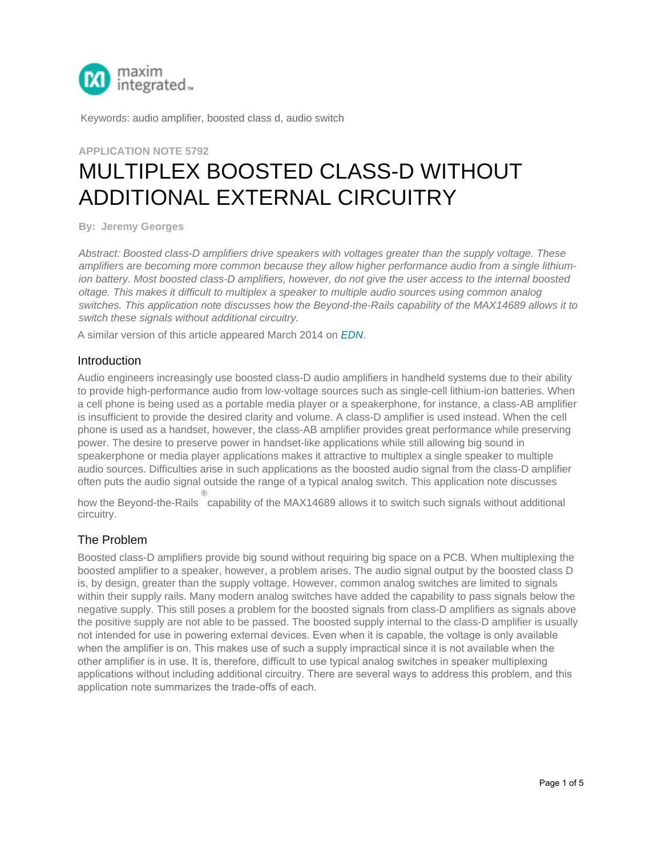

Keywords: audio amplifier, boosted class d, audio switch

# **APPLICATION NOTE 5792** MULTIPLEX BOOSTED CLASS-D WITHOUT [ADDITIONA](http://www.maximintegrated.com/en/)L EXTERNAL CIRCUITRY

**By: Jeremy Georges**

*Abstract: Boosted class-D amplifiers drive speakers with voltages greater than the supply voltage. These amplifiers are becoming more common because they allow higher performance audio from a single lithiumion battery. Most boosted class-D amplifiers, however, do not give the user access to the internal boosted oltage. This makes it difficult to multiplex a speaker to multiple audio sources using common analog switches. This application note discusses how the Beyond-the-Rails capability of the MAX14689 allows it to switch these signals without additional circuitry.*

A similar version of this article appeared March 2014 on *EDN*.

#### **Introduction**

Audio engineers increasingly use boosted class-D audio amplifiers in handheld systems due to their ability to provide high-performance audio from low-voltage sources such as single-cell lithium-ion batteries. When a cell phone is being used as a portable media player or a speakerphone, for instance, a class-AB amplifier is insufficient to provide the desired clarity and volume. A class-D amplifier is used instead. When the cell phone is used as a handset, however, the class-AB amplifier provides great performance while preserving power. The desire to preserve power in handset-like applications while still allowing big sound in speakerphone or media player applications makes it attractive to multiplex a single speaker to multiple a[udio sources. Difficulties arise in suc](http://www.eetimes.com/Content/Courses/course596/player.html)h applications as the boosted audio signal from the class-D amplifier often puts the audio signal outside the range of a typical analog switch. This application note discusses

® how the Beyond-the-Rails capability of the MAX14689 allows it to switch such signals without additional circuitry.

#### T[he Problem](http://www.eetimes.com/Content/Courses/course596/player.html)

Boosted class-D amplifiers provide big sound without requiring big space on a PCB. When multiplexing the boosted amplifier to a speaker, however, a problem aris[es. Th](http://www.edn.com/design/analog/4429308/Swinging-capacitors-enable-multiplexing-of-audio-amps--extend-battery-life)e audio signal output by the boosted class D is, by design, greater than the supply voltage. However, common analog switches are limited to signals within their supply rails. Many modern analog switches have added the capability to pass signals below the negative supply. This still poses a problem for the boosted signals from class-D amplifiers as signals above the positive supply are not able to be passed. The boosted supply internal to the class-D amplifier is usually not intended for use in powering external devices. Even when it is capable, the voltage is only available when the amplifier is on. This makes use of such a supply impractical since it is not available when the other amplifier is in use. It is, therefore, difficult to use typical analog switches in speaker multiplexing applications without including additional circuitry. There are several ways to address this problem, and this application note summarizes the trade-offs of each.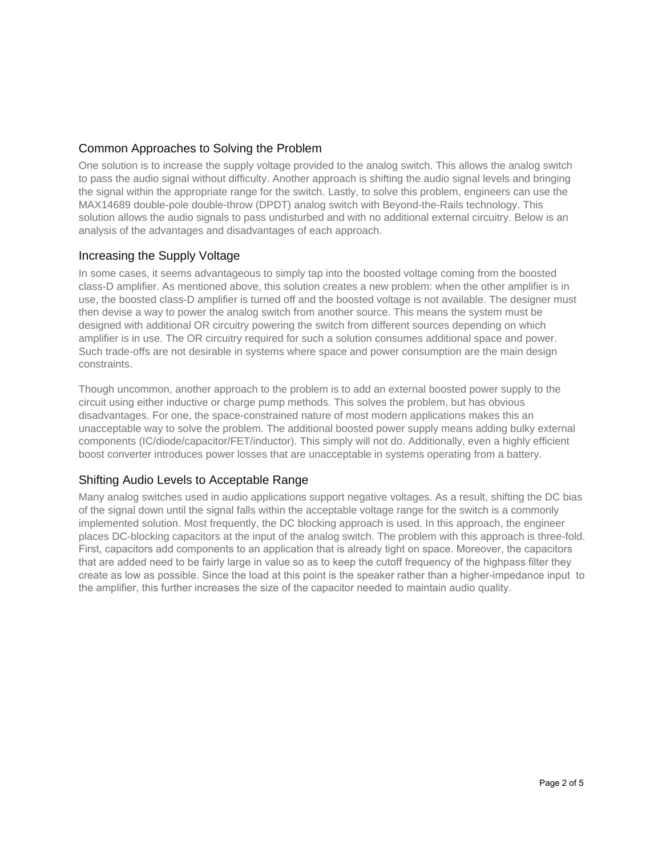## Common Approaches to Solving the Problem

One solution is to increase the supply voltage provided to the analog switch. This allows the analog switch to pass the audio signal without difficulty. Another approach is shifting the audio signal levels and bringing the signal within the appropriate range for the switch. Lastly, to solve this problem, engineers can use the MAX14689 double-pole double-throw (DPDT) analog switch with Beyond-the-Rails technology. This solution allows the audio signals to pass undisturbed and with no additional external circuitry. Below is an analysis of the advantages and disadvantages of each approach.

### Increasing the Supply Voltage

In some cases, it seems advantageous to simply tap into the boosted voltage coming from the boosted class-D amplifier. As mentioned above, this solution creates a new problem: when the other amplifier is in use, the boosted class-D amplifier is turned off and the boosted voltage is not available. The designer must then devise a way to power the analog switch from another source. This means the system must be designed with additional OR circuitry powering the switch from different sources depending on which amplifier is in use. The OR circuitry required for such a solution consumes additional space and power. Such trade-offs are not desirable in systems where space and power consumption are the main design constraints.

Though uncommon, another approach to the problem is to add an external boosted power supply to the circuit using either inductive or charge pump methods. This solves the problem, but has obvious disadvantages. For one, the space-constrained nature of most modern applications makes this an unacceptable way to solve the problem. The additional boosted power supply means adding bulky external components (IC/diode/capacitor/FET/inductor). This simply will not do. Additionally, even a highly efficient boost converter introduces power losses that are unacceptable in systems operating from a battery.

### Shifting Audio Levels to Acceptable Range

Many analog switches used in audio applications support negative voltages. As a result, shifting the DC bias of the signal down until the signal falls within the acceptable voltage range for the switch is a commonly implemented solution. Most frequently, the DC blocking approach is used. In this approach, the engineer places DC-blocking capacitors at the input of the analog switch. The problem with this approach is three-fold. First, capacitors add components to an application that is already tight on space. Moreover, the capacitors that are added need to be fairly large in value so as to keep the cutoff frequency of the highpass filter they create as low as possible. Since the load at this point is the speaker rather than a higher-impedance input to the amplifier, this further increases the size of the capacitor needed to maintain audio quality.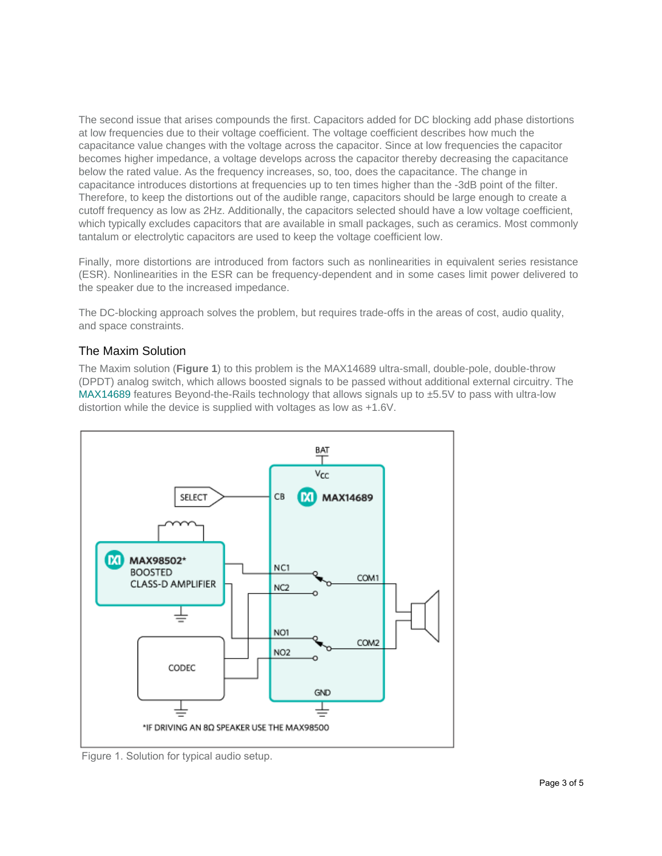The second issue that arises compounds the first. Capacitors added for DC blocking add phase distortions at low frequencies due to their voltage coefficient. The voltage coefficient describes how much the capacitance value changes with the voltage across the capacitor. Since at low frequencies the capacitor becomes higher impedance, a voltage develops across the capacitor thereby decreasing the capacitance below the rated value. As the frequency increases, so, too, does the capacitance. The change in capacitance introduces distortions at frequencies up to ten times higher than the -3dB point of the filter. Therefore, to keep the distortions out of the audible range, capacitors should be large enough to create a cutoff frequency as low as 2Hz. Additionally, the capacitors selected should have a low voltage coefficient, which typically excludes capacitors that are available in small packages, such as ceramics. Most commonly tantalum or electrolytic capacitors are used to keep the voltage coefficient low.

Finally, more distortions are introduced from factors such as nonlinearities in equivalent series resistance (ESR). Nonlinearities in the ESR can be frequency-dependent and in some cases limit power delivered to the speaker due to the increased impedance.

The DC-blocking approach solves the problem, but requires trade-offs in the areas of cost, audio quality, and space constraints.

### The Maxim Solution

The Maxim solution (**Figure 1**) to this problem is the MAX14689 ultra-small, double-pole, double-throw (DPDT) analog switch, which allows boosted signals to be passed without additional external circuitry. The MAX14689 features Beyond-the-Rails technology that allows signals up to  $\pm$ 5.5V to pass with ultra-low distortion while the device is supplied with voltages as low as +1.6V.



Figure 1. Solution for typical audio setup.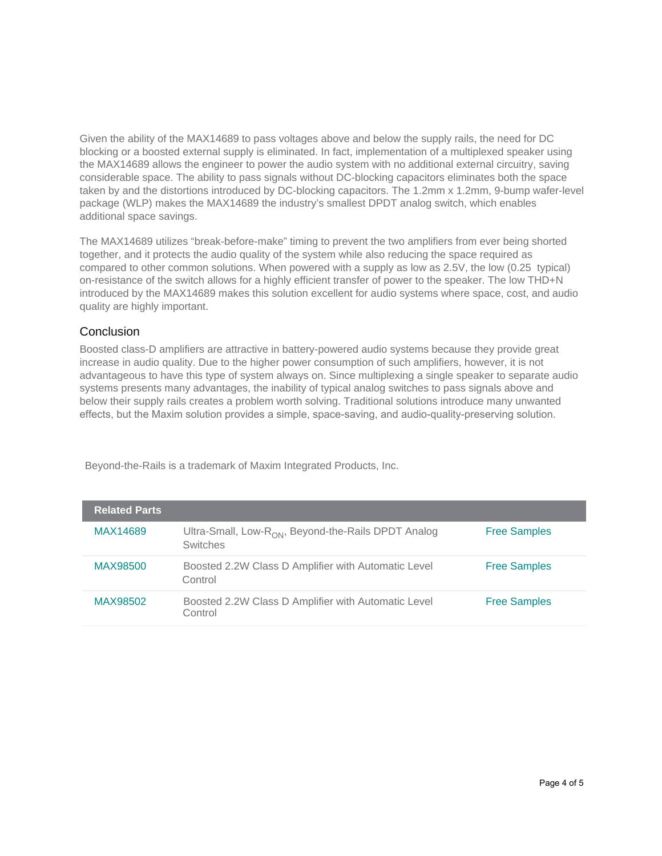Given the ability of the MAX14689 to pass voltages above and below the supply rails, the need for DC blocking or a boosted external supply is eliminated. In fact, implementation of a multiplexed speaker using the MAX14689 allows the engineer to power the audio system with no additional external circuitry, saving considerable space. The ability to pass signals without DC-blocking capacitors eliminates both the space taken by and the distortions introduced by DC-blocking capacitors. The 1.2mm x 1.2mm, 9-bump wafer-level package (WLP) makes the MAX14689 the industry's smallest DPDT analog switch, which enables additional space savings.

The MAX14689 utilizes "break-before-make" timing to prevent the two amplifiers from ever being shorted together, and it protects the audio quality of the system while also reducing the space required as compared to other common solutions. When powered with a supply as low as 2.5V, the low (0.25 typical) on-resistance of the switch allows for a highly efficient transfer of power to the speaker. The low THD+N introduced by the MAX14689 makes this solution excellent for audio systems where space, cost, and audio quality are highly important.

### Conclusion

Boosted class-D amplifiers are attractive in battery-powered audio systems because they provide great increase in audio quality. Due to the higher power consumption of such amplifiers, however, it is not advantageous to have this type of system always on. Since multiplexing a single speaker to separate audio systems presents many advantages, the inability of typical analog switches to pass signals above and below their supply rails creates a problem worth solving. Traditional solutions introduce many unwanted effects, but the Maxim solution provides a simple, space-saving, and audio-quality-preserving solution.

| <b>Related Parts</b> |                                                                                    |                     |
|----------------------|------------------------------------------------------------------------------------|---------------------|
| MAX14689             | Ultra-Small, Low-R <sub>ON</sub> , Beyond-the-Rails DPDT Analog<br><b>Switches</b> | <b>Free Samples</b> |
| MAX98500             | Boosted 2.2W Class D Amplifier with Automatic Level<br>Control                     | <b>Free Samples</b> |
| MAX98502             | Boosted 2.2W Class D Amplifier with Automatic Level<br>Control                     | <b>Free Samples</b> |

Beyond-the-Rails is a trademark of Maxim Integrated Products, Inc.